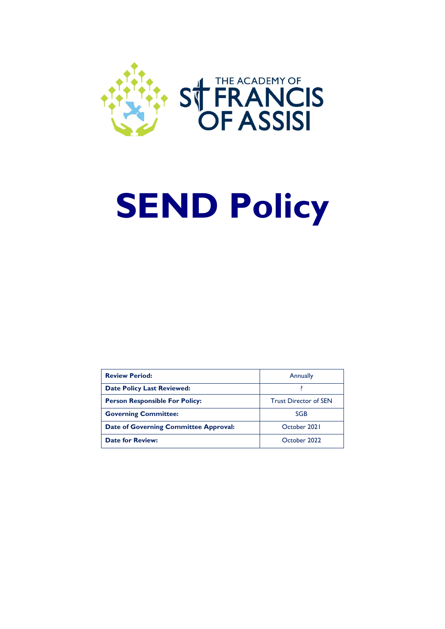

# **SEND Policy**

| <b>Review Period:</b>                        | <b>Annually</b>              |
|----------------------------------------------|------------------------------|
| <b>Date Policy Last Reviewed:</b>            |                              |
| <b>Person Responsible For Policy:</b>        | <b>Trust Director of SEN</b> |
| <b>Governing Committee:</b>                  | <b>SGB</b>                   |
| <b>Date of Governing Committee Approval:</b> | October 2021                 |
| <b>Date for Review:</b>                      | October 2022                 |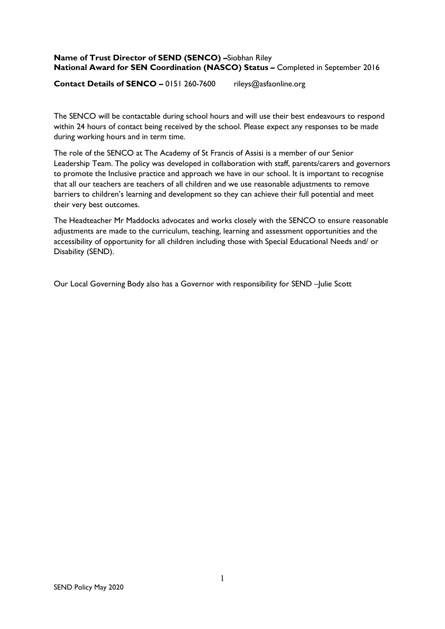## **Name of Trust Director of SEND (SENCO) –**Siobhan Riley **National Award for SEN Coordination (NASCO) Status –** Completed in September 2016

**Contact Details of SENCO –** 0151 260-7600 rileys@asfaonline.org

The SENCO will be contactable during school hours and will use their best endeavours to respond within 24 hours of contact being received by the school. Please expect any responses to be made during working hours and in term time.

The role of the SENCO at The Academy of St Francis of Assisi is a member of our Senior Leadership Team. The policy was developed in collaboration with staff, parents/carers and governors to promote the Inclusive practice and approach we have in our school. It is important to recognise that all our teachers are teachers of all children and we use reasonable adjustments to remove barriers to children's learning and development so they can achieve their full potential and meet their very best outcomes.

The Headteacher Mr Maddocks advocates and works closely with the SENCO to ensure reasonable adjustments are made to the curriculum, teaching, learning and assessment opportunities and the accessibility of opportunity for all children including those with Special Educational Needs and/ or Disability (SEND).

Our Local Governing Body also has a Governor with responsibility for SEND –Julie Scott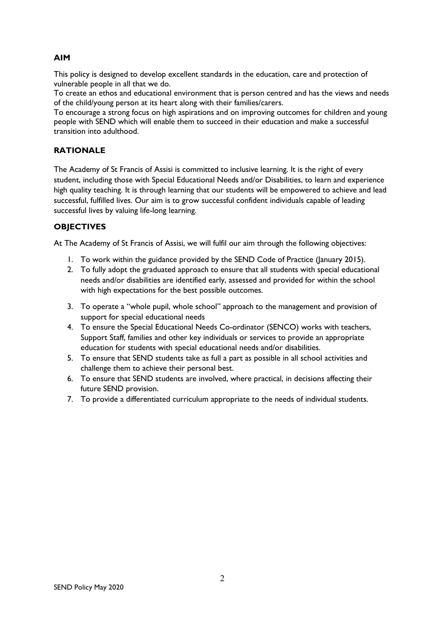# **AIM**

This policy is designed to develop excellent standards in the education, care and protection of vulnerable people in all that we do.

To create an ethos and educational environment that is person centred and has the views and needs of the child/young person at its heart along with their families/carers.

To encourage a strong focus on high aspirations and on improving outcomes for children and young people with SEND which will enable them to succeed in their education and make a successful transition into adulthood.

## **RATIONALE**

The Academy of St Francis of Assisi is committed to inclusive learning. It is the right of every student, including those with Special Educational Needs and/or Disabilities, to learn and experience high quality teaching. It is through learning that our students will be empowered to achieve and lead successful, fulfilled lives. Our aim is to grow successful confident individuals capable of leading successful lives by valuing life-long learning.

# **OBJECTIVES**

At The Academy of St Francis of Assisi, we will fulfil our aim through the following objectives:

- 1. To work within the guidance provided by the SEND Code of Practice (January 2015).
- 2. To fully adopt the graduated approach to ensure that all students with special educational needs and/or disabilities are identified early, assessed and provided for within the school with high expectations for the best possible outcomes.
- 3. To operate a "whole pupil, whole school" approach to the management and provision of support for special educational needs
- 4. To ensure the Special Educational Needs Co-ordinator (SENCO) works with teachers, Support Staff, families and other key individuals or services to provide an appropriate education for students with special educational needs and/or disabilities.
- 5. To ensure that SEND students take as full a part as possible in all school activities and challenge them to achieve their personal best.
- 6. To ensure that SEND students are involved, where practical, in decisions affecting their future SEND provision.
- 7. To provide a differentiated curriculum appropriate to the needs of individual students.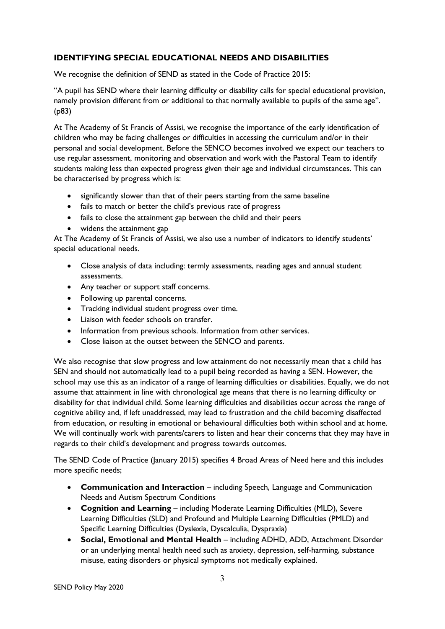# **IDENTIFYING SPECIAL EDUCATIONAL NEEDS AND DISABILITIES**

We recognise the definition of SEND as stated in the Code of Practice 2015:

"A pupil has SEND where their learning difficulty or disability calls for special educational provision, namely provision different from or additional to that normally available to pupils of the same age". (p83)

At The Academy of St Francis of Assisi, we recognise the importance of the early identification of children who may be facing challenges or difficulties in accessing the curriculum and/or in their personal and social development. Before the SENCO becomes involved we expect our teachers to use regular assessment, monitoring and observation and work with the Pastoral Team to identify students making less than expected progress given their age and individual circumstances. This can be characterised by progress which is:

- significantly slower than that of their peers starting from the same baseline
- fails to match or better the child's previous rate of progress
- fails to close the attainment gap between the child and their peers
- widens the attainment gap

At The Academy of St Francis of Assisi, we also use a number of indicators to identify students' special educational needs.

- Close analysis of data including: termly assessments, reading ages and annual student assessments.
- Any teacher or support staff concerns.
- Following up parental concerns.
- Tracking individual student progress over time.
- Liaison with feeder schools on transfer.
- Information from previous schools. Information from other services.
- Close liaison at the outset between the SENCO and parents.

We also recognise that slow progress and low attainment do not necessarily mean that a child has SEN and should not automatically lead to a pupil being recorded as having a SEN. However, the school may use this as an indicator of a range of learning difficulties or disabilities. Equally, we do not assume that attainment in line with chronological age means that there is no learning difficulty or disability for that individual child. Some learning difficulties and disabilities occur across the range of cognitive ability and, if left unaddressed, may lead to frustration and the child becoming disaffected from education, or resulting in emotional or behavioural difficulties both within school and at home. We will continually work with parents/carers to listen and hear their concerns that they may have in regards to their child's development and progress towards outcomes.

The SEND Code of Practice (January 2015) specifies 4 Broad Areas of Need here and this includes more specific needs;

- **Communication and Interaction** including Speech, Language and Communication Needs and Autism Spectrum Conditions
- **Cognition and Learning** including Moderate Learning Difficulties (MLD), Severe Learning Difficulties (SLD) and Profound and Multiple Learning Difficulties (PMLD) and Specific Learning Difficulties (Dyslexia, Dyscalculia, Dyspraxia)
- **Social, Emotional and Mental Health**  including ADHD, ADD, Attachment Disorder or an underlying mental health need such as anxiety, depression, self-harming, substance misuse, eating disorders or physical symptoms not medically explained.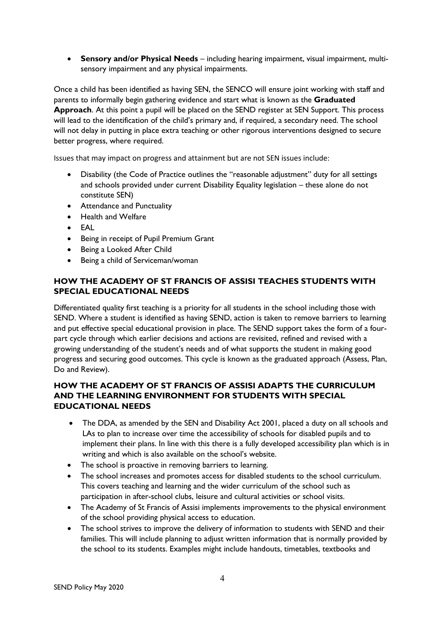• **Sensory and/or Physical Needs** – including hearing impairment, visual impairment, multisensory impairment and any physical impairments.

Once a child has been identified as having SEN, the SENCO will ensure joint working with staff and parents to informally begin gathering evidence and start what is known as the **Graduated Approach**. At this point a pupil will be placed on the SEND register at SEN Support. This process will lead to the identification of the child's primary and, if required, a secondary need. The school will not delay in putting in place extra teaching or other rigorous interventions designed to secure better progress, where required.

Issues that may impact on progress and attainment but are not SEN issues include:

- Disability (the Code of Practice outlines the "reasonable adjustment" duty for all settings and schools provided under current Disability Equality legislation – these alone do not constitute SEN)
- Attendance and Punctuality
- Health and Welfare
- EAL
- Being in receipt of Pupil Premium Grant
- Being a Looked After Child
- Being a child of Serviceman/woman

# **HOW THE ACADEMY OF ST FRANCIS OF ASSISI TEACHES STUDENTS WITH SPECIAL EDUCATIONAL NEEDS**

Differentiated quality first teaching is a priority for all students in the school including those with SEND. Where a student is identified as having SEND, action is taken to remove barriers to learning and put effective special educational provision in place. The SEND support takes the form of a fourpart cycle through which earlier decisions and actions are revisited, refined and revised with a growing understanding of the student's needs and of what supports the student in making good progress and securing good outcomes. This cycle is known as the graduated approach (Assess, Plan, Do and Review).

# **HOW THE ACADEMY OF ST FRANCIS OF ASSISI ADAPTS THE CURRICULUM AND THE LEARNING ENVIRONMENT FOR STUDENTS WITH SPECIAL EDUCATIONAL NEEDS**

- The DDA, as amended by the SEN and Disability Act 2001, placed a duty on all schools and LAs to plan to increase over time the accessibility of schools for disabled pupils and to implement their plans. In line with this there is a fully developed accessibility plan which is in writing and which is also available on the school's website.
- The school is proactive in removing barriers to learning.
- The school increases and promotes access for disabled students to the school curriculum. This covers teaching and learning and the wider curriculum of the school such as participation in after-school clubs, leisure and cultural activities or school visits.
- The Academy of St Francis of Assisi implements improvements to the physical environment of the school providing physical access to education.
- The school strives to improve the delivery of information to students with SEND and their families. This will include planning to adjust written information that is normally provided by the school to its students. Examples might include handouts, timetables, textbooks and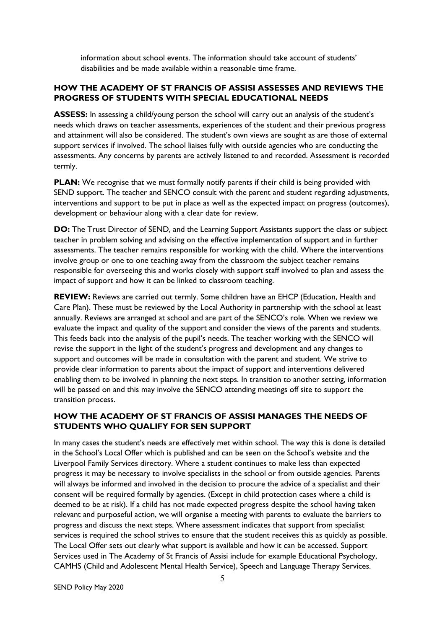information about school events. The information should take account of students' disabilities and be made available within a reasonable time frame.

# **HOW THE ACADEMY OF ST FRANCIS OF ASSISI ASSESSES AND REVIEWS THE PROGRESS OF STUDENTS WITH SPECIAL EDUCATIONAL NEEDS**

**ASSESS:** In assessing a child/young person the school will carry out an analysis of the student's needs which draws on teacher assessments, experiences of the student and their previous progress and attainment will also be considered. The student's own views are sought as are those of external support services if involved. The school liaises fully with outside agencies who are conducting the assessments. Any concerns by parents are actively listened to and recorded. Assessment is recorded termly.

**PLAN:** We recognise that we must formally notify parents if their child is being provided with SEND support. The teacher and SENCO consult with the parent and student regarding adjustments, interventions and support to be put in place as well as the expected impact on progress (outcomes), development or behaviour along with a clear date for review.

**DO:** The Trust Director of SEND, and the Learning Support Assistants support the class or subject teacher in problem solving and advising on the effective implementation of support and in further assessments. The teacher remains responsible for working with the child. Where the interventions involve group or one to one teaching away from the classroom the subject teacher remains responsible for overseeing this and works closely with support staff involved to plan and assess the impact of support and how it can be linked to classroom teaching.

**REVIEW:** Reviews are carried out termly. Some children have an EHCP (Education, Health and Care Plan). These must be reviewed by the Local Authority in partnership with the school at least annually. Reviews are arranged at school and are part of the SENCO's role. When we review we evaluate the impact and quality of the support and consider the views of the parents and students. This feeds back into the analysis of the pupil's needs. The teacher working with the SENCO will revise the support in the light of the student's progress and development and any changes to support and outcomes will be made in consultation with the parent and student. We strive to provide clear information to parents about the impact of support and interventions delivered enabling them to be involved in planning the next steps. In transition to another setting, information will be passed on and this may involve the SENCO attending meetings off site to support the transition process.

# **HOW THE ACADEMY OF ST FRANCIS OF ASSISI MANAGES THE NEEDS OF STUDENTS WHO QUALIFY FOR SEN SUPPORT**

In many cases the student's needs are effectively met within school. The way this is done is detailed in the School's Local Offer which is published and can be seen on the School's website and the Liverpool Family Services directory. Where a student continues to make less than expected progress it may be necessary to involve specialists in the school or from outside agencies. Parents will always be informed and involved in the decision to procure the advice of a specialist and their consent will be required formally by agencies. (Except in child protection cases where a child is deemed to be at risk). If a child has not made expected progress despite the school having taken relevant and purposeful action, we will organise a meeting with parents to evaluate the barriers to progress and discuss the next steps. Where assessment indicates that support from specialist services is required the school strives to ensure that the student receives this as quickly as possible. The Local Offer sets out clearly what support is available and how it can be accessed. Support Services used in The Academy of St Francis of Assisi include for example Educational Psychology, CAMHS (Child and Adolescent Mental Health Service), Speech and Language Therapy Services.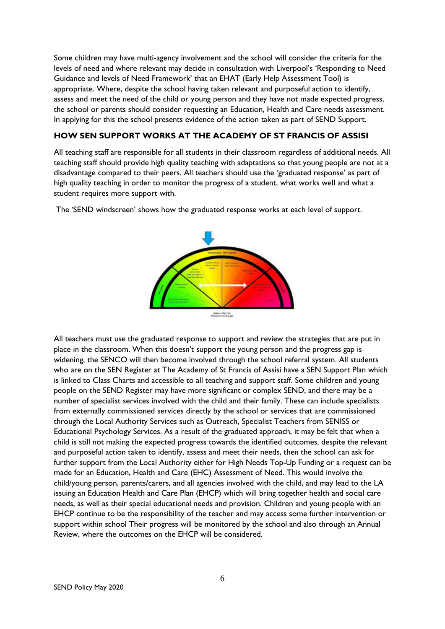Some children may have multi-agency involvement and the school will consider the criteria for the levels of need and where relevant may decide in consultation with Liverpool's 'Responding to Need Guidance and levels of Need Framework' that an EHAT (Early Help Assessment Tool) is appropriate. Where, despite the school having taken relevant and purposeful action to identify, assess and meet the need of the child or young person and they have not made expected progress, the school or parents should consider requesting an Education, Health and Care needs assessment. In applying for this the school presents evidence of the action taken as part of SEND Support.

## **HOW SEN SUPPORT WORKS AT THE ACADEMY OF ST FRANCIS OF ASSISI**

All teaching staff are responsible for all students in their classroom regardless of additional needs. All teaching staff should provide high quality teaching with adaptations so that young people are not at a disadvantage compared to their peers. All teachers should use the 'graduated response' as part of high quality teaching in order to monitor the progress of a student, what works well and what a student requires more support with.

**Amins, Pian, En.**<br>Review at our hybrid

The 'SEND windscreen' shows how the graduated response works at each level of support.

All teachers must use the graduated response to support and review the strategies that are put in place in the classroom. When this doesn't support the young person and the progress gap is widening, the SENCO will then become involved through the school referral system. All students who are on the SEN Register at The Academy of St Francis of Assisi have a SEN Support Plan which is linked to Class Charts and accessible to all teaching and support staff. Some children and young people on the SEND Register may have more significant or complex SEND, and there may be a number of specialist services involved with the child and their family. These can include specialists from externally commissioned services directly by the school or services that are commissioned through the Local Authority Services such as Outreach, Specialist Teachers from SENISS or Educational Psychology Services. As a result of the graduated approach, it may be felt that when a child is still not making the expected progress towards the identified outcomes, despite the relevant and purposeful action taken to identify, assess and meet their needs, then the school can ask for further support from the Local Authority either for High Needs Top-Up Funding or a request can be made for an Education, Health and Care (EHC) Assessment of Need. This would involve the child/young person, parents/carers, and all agencies involved with the child, and may lead to the LA issuing an Education Health and Care Plan (EHCP) which will bring together health and social care needs, as well as their special educational needs and provision. Children and young people with an EHCP continue to be the responsibility of the teacher and may access some further intervention or support within school Their progress will be monitored by the school and also through an Annual Review, where the outcomes on the EHCP will be considered.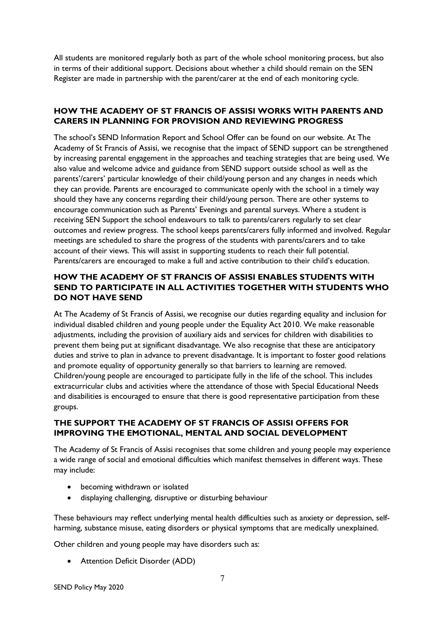All students are monitored regularly both as part of the whole school monitoring process, but also in terms of their additional support. Decisions about whether a child should remain on the SEN Register are made in partnership with the parent/carer at the end of each monitoring cycle.

# **HOW THE ACADEMY OF ST FRANCIS OF ASSISI WORKS WITH PARENTS AND CARERS IN PLANNING FOR PROVISION AND REVIEWING PROGRESS**

The school's SEND Information Report and School Offer can be found on our website. At The Academy of St Francis of Assisi, we recognise that the impact of SEND support can be strengthened by increasing parental engagement in the approaches and teaching strategies that are being used. We also value and welcome advice and guidance from SEND support outside school as well as the parents'/carers' particular knowledge of their child/young person and any changes in needs which they can provide. Parents are encouraged to communicate openly with the school in a timely way should they have any concerns regarding their child/young person. There are other systems to encourage communication such as Parents' Evenings and parental surveys. Where a student is receiving SEN Support the school endeavours to talk to parents/carers regularly to set clear outcomes and review progress. The school keeps parents/carers fully informed and involved. Regular meetings are scheduled to share the progress of the students with parents/carers and to take account of their views. This will assist in supporting students to reach their full potential. Parents/carers are encouraged to make a full and active contribution to their child's education.

# **HOW THE ACADEMY OF ST FRANCIS OF ASSISI ENABLES STUDENTS WITH SEND TO PARTICIPATE IN ALL ACTIVITIES TOGETHER WITH STUDENTS WHO DO NOT HAVE SEND**

At The Academy of St Francis of Assisi, we recognise our duties regarding equality and inclusion for individual disabled children and young people under the Equality Act 2010. We make reasonable adjustments, including the provision of auxiliary aids and services for children with disabilities to prevent them being put at significant disadvantage. We also recognise that these are anticipatory duties and strive to plan in advance to prevent disadvantage. It is important to foster good relations and promote equality of opportunity generally so that barriers to learning are removed. Children/young people are encouraged to participate fully in the life of the school. This includes extracurricular clubs and activities where the attendance of those with Special Educational Needs and disabilities is encouraged to ensure that there is good representative participation from these groups.

# **THE SUPPORT THE ACADEMY OF ST FRANCIS OF ASSISI OFFERS FOR IMPROVING THE EMOTIONAL, MENTAL AND SOCIAL DEVELOPMENT**

The Academy of St Francis of Assisi recognises that some children and young people may experience a wide range of social and emotional difficulties which manifest themselves in different ways. These may include:

- becoming withdrawn or isolated
- displaying challenging, disruptive or disturbing behaviour

These behaviours may reflect underlying mental health difficulties such as anxiety or depression, selfharming, substance misuse, eating disorders or physical symptoms that are medically unexplained.

Other children and young people may have disorders such as:

• Attention Deficit Disorder (ADD)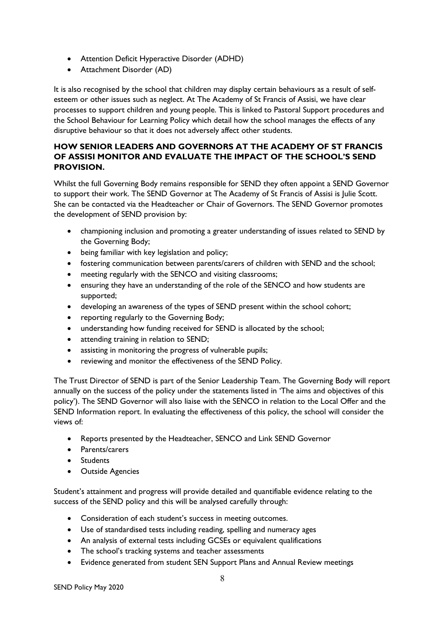- Attention Deficit Hyperactive Disorder (ADHD)
- Attachment Disorder (AD)

It is also recognised by the school that children may display certain behaviours as a result of selfesteem or other issues such as neglect. At The Academy of St Francis of Assisi, we have clear processes to support children and young people. This is linked to Pastoral Support procedures and the School Behaviour for Learning Policy which detail how the school manages the effects of any disruptive behaviour so that it does not adversely affect other students.

# **HOW SENIOR LEADERS AND GOVERNORS AT THE ACADEMY OF ST FRANCIS OF ASSISI MONITOR AND EVALUATE THE IMPACT OF THE SCHOOL'S SEND PROVISION.**

Whilst the full Governing Body remains responsible for SEND they often appoint a SEND Governor to support their work. The SEND Governor at The Academy of St Francis of Assisi is Julie Scott. She can be contacted via the Headteacher or Chair of Governors. The SEND Governor promotes the development of SEND provision by:

- championing inclusion and promoting a greater understanding of issues related to SEND by the Governing Body;
- being familiar with key legislation and policy;
- fostering communication between parents/carers of children with SEND and the school;
- meeting regularly with the SENCO and visiting classrooms;
- ensuring they have an understanding of the role of the SENCO and how students are supported;
- developing an awareness of the types of SEND present within the school cohort;
- reporting regularly to the Governing Body;
- understanding how funding received for SEND is allocated by the school;
- attending training in relation to SEND;
- assisting in monitoring the progress of vulnerable pupils;
- reviewing and monitor the effectiveness of the SEND Policy.

The Trust Director of SEND is part of the Senior Leadership Team. The Governing Body will report annually on the success of the policy under the statements listed in 'The aims and objectives of this policy'). The SEND Governor will also liaise with the SENCO in relation to the Local Offer and the SEND Information report. In evaluating the effectiveness of this policy, the school will consider the views of:

- Reports presented by the Headteacher, SENCO and Link SEND Governor
- Parents/carers
- Students
- Outside Agencies

Student's attainment and progress will provide detailed and quantifiable evidence relating to the success of the SEND policy and this will be analysed carefully through:

- Consideration of each student's success in meeting outcomes.
- Use of standardised tests including reading, spelling and numeracy ages
- An analysis of external tests including GCSEs or equivalent qualifications
- The school's tracking systems and teacher assessments
- Evidence generated from student SEN Support Plans and Annual Review meetings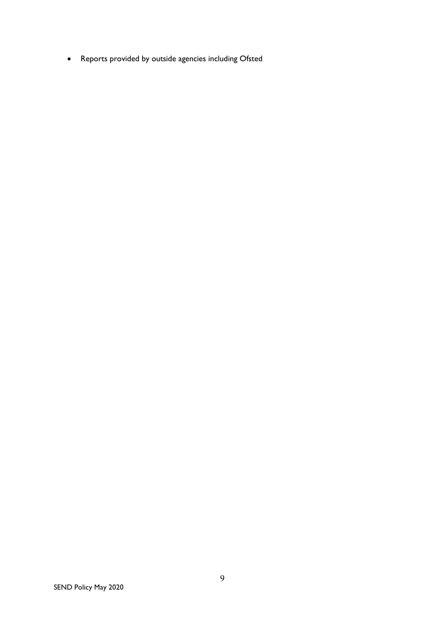• Reports provided by outside agencies including Ofsted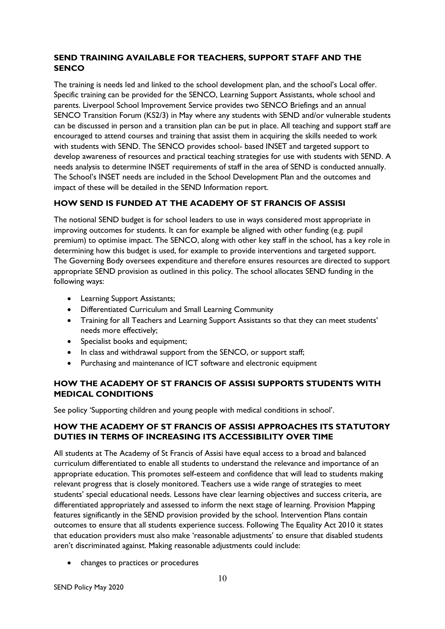# **SEND TRAINING AVAILABLE FOR TEACHERS, SUPPORT STAFF AND THE SENCO**

The training is needs led and linked to the school development plan, and the school's Local offer. Specific training can be provided for the SENCO, Learning Support Assistants, whole school and parents. Liverpool School Improvement Service provides two SENCO Briefings and an annual SENCO Transition Forum (KS2/3) in May where any students with SEND and/or vulnerable students can be discussed in person and a transition plan can be put in place. All teaching and support staff are encouraged to attend courses and training that assist them in acquiring the skills needed to work with students with SEND. The SENCO provides school- based INSET and targeted support to develop awareness of resources and practical teaching strategies for use with students with SEND. A needs analysis to determine INSET requirements of staff in the area of SEND is conducted annually. The School's INSET needs are included in the School Development Plan and the outcomes and impact of these will be detailed in the SEND Information report.

# **HOW SEND IS FUNDED AT THE ACADEMY OF ST FRANCIS OF ASSISI**

The notional SEND budget is for school leaders to use in ways considered most appropriate in improving outcomes for students. It can for example be aligned with other funding (e.g. pupil premium) to optimise impact. The SENCO, along with other key staff in the school, has a key role in determining how this budget is used, for example to provide interventions and targeted support. The Governing Body oversees expenditure and therefore ensures resources are directed to support appropriate SEND provision as outlined in this policy. The school allocates SEND funding in the following ways:

- Learning Support Assistants;
- Differentiated Curriculum and Small Learning Community
- Training for all Teachers and Learning Support Assistants so that they can meet students' needs more effectively;
- Specialist books and equipment;
- In class and withdrawal support from the SENCO, or support staff;
- Purchasing and maintenance of ICT software and electronic equipment

# **HOW THE ACADEMY OF ST FRANCIS OF ASSISI SUPPORTS STUDENTS WITH MEDICAL CONDITIONS**

See policy 'Supporting children and young people with medical conditions in school'.

# **HOW THE ACADEMY OF ST FRANCIS OF ASSISI APPROACHES ITS STATUTORY DUTIES IN TERMS OF INCREASING ITS ACCESSIBILITY OVER TIME**

All students at The Academy of St Francis of Assisi have equal access to a broad and balanced curriculum differentiated to enable all students to understand the relevance and importance of an appropriate education. This promotes self-esteem and confidence that will lead to students making relevant progress that is closely monitored. Teachers use a wide range of strategies to meet students' special educational needs. Lessons have clear learning objectives and success criteria, are differentiated appropriately and assessed to inform the next stage of learning. Provision Mapping features significantly in the SEND provision provided by the school. Intervention Plans contain outcomes to ensure that all students experience success. Following The Equality Act 2010 it states that education providers must also make 'reasonable adjustments' to ensure that disabled students aren't discriminated against. Making reasonable adjustments could include:

• changes to practices or procedures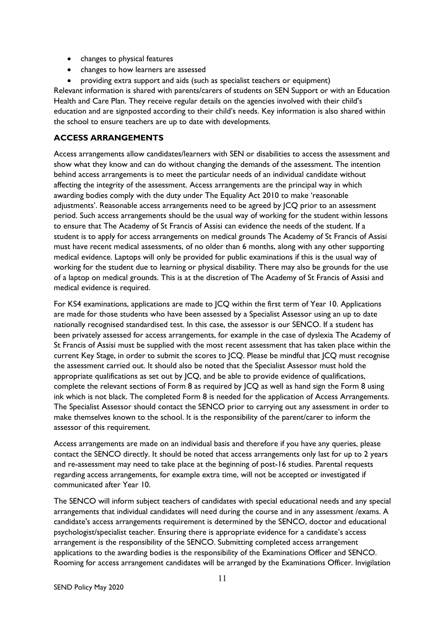- changes to physical features
- changes to how learners are assessed
- providing extra support and aids (such as specialist teachers or equipment)

Relevant information is shared with parents/carers of students on SEN Support or with an Education Health and Care Plan. They receive regular details on the agencies involved with their child's education and are signposted according to their child's needs. Key information is also shared within the school to ensure teachers are up to date with developments.

## **ACCESS ARRANGEMENTS**

Access arrangements allow candidates/learners with SEN or disabilities to access the assessment and show what they know and can do without changing the demands of the assessment. The intention behind access arrangements is to meet the particular needs of an individual candidate without affecting the integrity of the assessment. Access arrangements are the principal way in which awarding bodies comply with the duty under The Equality Act 2010 to make 'reasonable adjustments'. Reasonable access arrangements need to be agreed by JCQ prior to an assessment period. Such access arrangements should be the usual way of working for the student within lessons to ensure that The Academy of St Francis of Assisi can evidence the needs of the student. If a student is to apply for access arrangements on medical grounds The Academy of St Francis of Assisi must have recent medical assessments, of no older than 6 months, along with any other supporting medical evidence. Laptops will only be provided for public examinations if this is the usual way of working for the student due to learning or physical disability. There may also be grounds for the use of a laptop on medical grounds. This is at the discretion of The Academy of St Francis of Assisi and medical evidence is required.

For KS4 examinations, applications are made to JCQ within the first term of Year 10. Applications are made for those students who have been assessed by a Specialist Assessor using an up to date nationally recognised standardised test. In this case, the assessor is our SENCO. If a student has been privately assessed for access arrangements, for example in the case of dyslexia The Academy of St Francis of Assisi must be supplied with the most recent assessment that has taken place within the current Key Stage, in order to submit the scores to JCQ. Please be mindful that JCQ must recognise the assessment carried out. It should also be noted that the Specialist Assessor must hold the appropriate qualifications as set out by JCQ, and be able to provide evidence of qualifications, complete the relevant sections of Form 8 as required by JCQ as well as hand sign the Form 8 using ink which is not black. The completed Form 8 is needed for the application of Access Arrangements. The Specialist Assessor should contact the SENCO prior to carrying out any assessment in order to make themselves known to the school. It is the responsibility of the parent/carer to inform the assessor of this requirement.

Access arrangements are made on an individual basis and therefore if you have any queries, please contact the SENCO directly. It should be noted that access arrangements only last for up to 2 years and re-assessment may need to take place at the beginning of post-16 studies. Parental requests regarding access arrangements, for example extra time, will not be accepted or investigated if communicated after Year 10.

The SENCO will inform subject teachers of candidates with special educational needs and any special arrangements that individual candidates will need during the course and in any assessment /exams. A candidate's access arrangements requirement is determined by the SENCO, doctor and educational psychologist/specialist teacher. Ensuring there is appropriate evidence for a candidate's access arrangement is the responsibility of the SENCO. Submitting completed access arrangement applications to the awarding bodies is the responsibility of the Examinations Officer and SENCO. Rooming for access arrangement candidates will be arranged by the Examinations Officer. Invigilation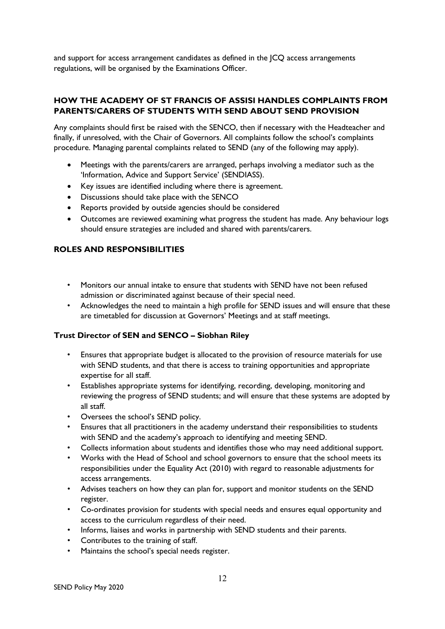and support for access arrangement candidates as defined in the JCQ access arrangements regulations, will be organised by the Examinations Officer.

# **HOW THE ACADEMY OF ST FRANCIS OF ASSISI HANDLES COMPLAINTS FROM PARENTS/CARERS OF STUDENTS WITH SEND ABOUT SEND PROVISION**

Any complaints should first be raised with the SENCO, then if necessary with the Headteacher and finally, if unresolved, with the Chair of Governors. All complaints follow the school's complaints procedure. Managing parental complaints related to SEND (any of the following may apply).

- Meetings with the parents/carers are arranged, perhaps involving a mediator such as the 'Information, Advice and Support Service' (SENDIASS).
- Key issues are identified including where there is agreement.
- Discussions should take place with the SENCO
- Reports provided by outside agencies should be considered
- Outcomes are reviewed examining what progress the student has made. Any behaviour logs should ensure strategies are included and shared with parents/carers.

## **ROLES AND RESPONSIBILITIES**

- Monitors our annual intake to ensure that students with SEND have not been refused admission or discriminated against because of their special need.
- Acknowledges the need to maintain a high profile for SEND issues and will ensure that these are timetabled for discussion at Governors' Meetings and at staff meetings.

### **Trust Director of SEN and SENCO – Siobhan Riley**

- Ensures that appropriate budget is allocated to the provision of resource materials for use with SEND students, and that there is access to training opportunities and appropriate expertise for all staff.
- Establishes appropriate systems for identifying, recording, developing, monitoring and reviewing the progress of SEND students; and will ensure that these systems are adopted by all staff.
- Oversees the school's SEND policy.
- Ensures that all practitioners in the academy understand their responsibilities to students with SEND and the academy's approach to identifying and meeting SEND.
- Collects information about students and identifies those who may need additional support.
- Works with the Head of School and school governors to ensure that the school meets its responsibilities under the Equality Act (2010) with regard to reasonable adjustments for access arrangements.
- Advises teachers on how they can plan for, support and monitor students on the SEND register.
- Co-ordinates provision for students with special needs and ensures equal opportunity and access to the curriculum regardless of their need.
- Informs, liaises and works in partnership with SEND students and their parents.
- Contributes to the training of staff.
- Maintains the school's special needs register.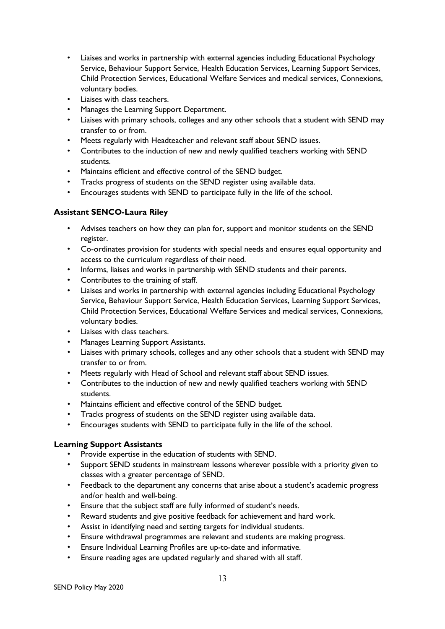- Liaises and works in partnership with external agencies including Educational Psychology Service, Behaviour Support Service, Health Education Services, Learning Support Services, Child Protection Services, Educational Welfare Services and medical services, Connexions, voluntary bodies.
- Liaises with class teachers.
- Manages the Learning Support Department.
- Liaises with primary schools, colleges and any other schools that a student with SEND may transfer to or from.
- Meets regularly with Headteacher and relevant staff about SEND issues.
- Contributes to the induction of new and newly qualified teachers working with SEND students.
- Maintains efficient and effective control of the SEND budget.
- Tracks progress of students on the SEND register using available data.
- Encourages students with SEND to participate fully in the life of the school.

# **Assistant SENCO-Laura Riley**

- Advises teachers on how they can plan for, support and monitor students on the SEND register.
- Co-ordinates provision for students with special needs and ensures equal opportunity and access to the curriculum regardless of their need.
- Informs, liaises and works in partnership with SEND students and their parents.
- Contributes to the training of staff.
- Liaises and works in partnership with external agencies including Educational Psychology Service, Behaviour Support Service, Health Education Services, Learning Support Services, Child Protection Services, Educational Welfare Services and medical services, Connexions, voluntary bodies.
- Liaises with class teachers.
- Manages Learning Support Assistants.
- Liaises with primary schools, colleges and any other schools that a student with SEND may transfer to or from.
- Meets regularly with Head of School and relevant staff about SEND issues.
- Contributes to the induction of new and newly qualified teachers working with SEND students.
- Maintains efficient and effective control of the SEND budget.
- Tracks progress of students on the SEND register using available data.
- Encourages students with SEND to participate fully in the life of the school.

## **Learning Support Assistants**

- Provide expertise in the education of students with SEND.
- Support SEND students in mainstream lessons wherever possible with a priority given to classes with a greater percentage of SEND.
- Feedback to the department any concerns that arise about a student's academic progress and/or health and well-being.
- Ensure that the subject staff are fully informed of student's needs.
- Reward students and give positive feedback for achievement and hard work.
- Assist in identifying need and setting targets for individual students.
- Ensure withdrawal programmes are relevant and students are making progress.
- Ensure Individual Learning Profiles are up-to-date and informative.
- Ensure reading ages are updated regularly and shared with all staff.